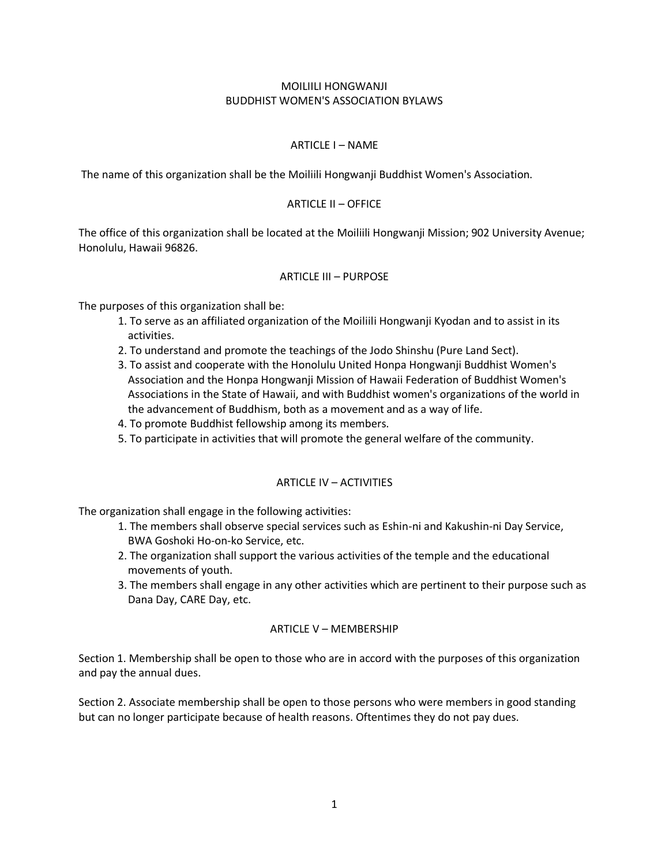## MOILIILI HONGWANJI BUDDHIST WOMEN'S ASSOCIATION BYLAWS

## ARTICLE I – NAME

The name of this organization shall be the Moiliili Hongwanji Buddhist Women's Association.

### ARTICLE II – OFFICE

The office of this organization shall be located at the Moiliili Hongwanji Mission; 902 University Avenue; Honolulu, Hawaii 96826.

#### ARTICLE III – PURPOSE

The purposes of this organization shall be:

- 1. To serve as an affiliated organization of the Moiliili Hongwanji Kyodan and to assist in its activities.
- 2. To understand and promote the teachings of the Jodo Shinshu (Pure Land Sect).
- 3. To assist and cooperate with the Honolulu United Honpa Hongwanji Buddhist Women's Association and the Honpa Hongwanji Mission of Hawaii Federation of Buddhist Women's Associations in the State of Hawaii, and with Buddhist women's organizations of the world in the advancement of Buddhism, both as a movement and as a way of life.
- 4. To promote Buddhist fellowship among its members.
- 5. To participate in activities that will promote the general welfare of the community.

# ARTICLE IV – ACTIVITIES

The organization shall engage in the following activities:

- 1. The members shall observe special services such as Eshin-ni and Kakushin-ni Day Service, BWA Goshoki Ho-on-ko Service, etc.
- 2. The organization shall support the various activities of the temple and the educational movements of youth.
- 3. The members shall engage in any other activities which are pertinent to their purpose such as Dana Day, CARE Day, etc.

#### ARTICLE V – MEMBERSHIP

Section 1. Membership shall be open to those who are in accord with the purposes of this organization and pay the annual dues.

Section 2. Associate membership shall be open to those persons who were members in good standing but can no longer participate because of health reasons. Oftentimes they do not pay dues.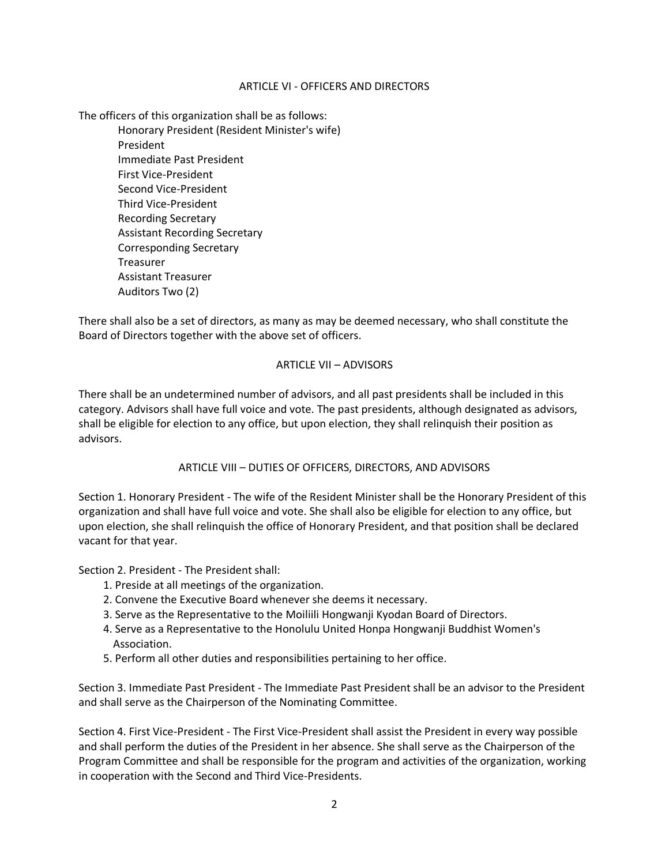### ARTICLE VI - OFFICERS AND DIRECTORS

The officers of this organization shall be as follows:

Honorary President (Resident Minister's wife) President Immediate Past President First Vice-President Second Vice-President Third Vice-President Recording Secretary Assistant Recording Secretary Corresponding Secretary Treasurer Assistant Treasurer Auditors Two (2)

There shall also be a set of directors, as many as may be deemed necessary, who shall constitute the Board of Directors together with the above set of officers.

### ARTICLE VII – ADVISORS

There shall be an undetermined number of advisors, and all past presidents shall be included in this category. Advisors shall have full voice and vote. The past presidents, although designated as advisors, shall be eligible for election to any office, but upon election, they shall relinquish their position as advisors.

# ARTICLE VIII – DUTIES OF OFFICERS, DIRECTORS, AND ADVISORS

Section 1. Honorary President - The wife of the Resident Minister shall be the Honorary President of this organization and shall have full voice and vote. She shall also be eligible for election to any office, but upon election, she shall relinquish the office of Honorary President, and that position shall be declared vacant for that year.

Section 2. President - The President shall:

- 1. Preside at all meetings of the organization.
- 2. Convene the Executive Board whenever she deems it necessary.
- 3. Serve as the Representative to the Moiliili Hongwanji Kyodan Board of Directors.
- 4. Serve as a Representative to the Honolulu United Honpa Hongwanji Buddhist Women's Association.
- 5. Perform all other duties and responsibilities pertaining to her office.

Section 3. Immediate Past President - The Immediate Past President shall be an advisor to the President and shall serve as the Chairperson of the Nominating Committee.

Section 4. First Vice-President - The First Vice-President shall assist the President in every way possible and shall perform the duties of the President in her absence. She shall serve as the Chairperson of the Program Committee and shall be responsible for the program and activities of the organization, working in cooperation with the Second and Third Vice-Presidents.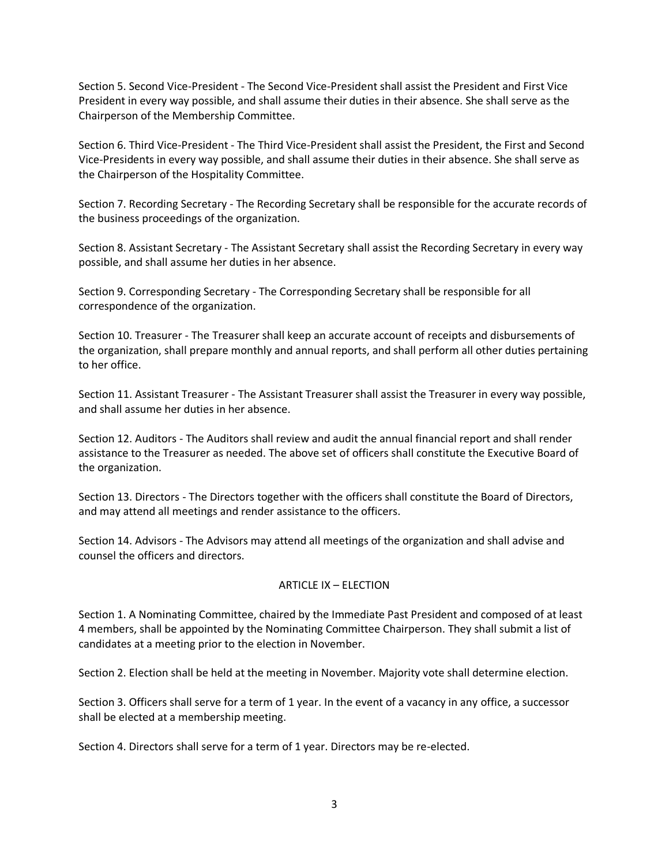Section 5. Second Vice-President - The Second Vice-President shall assist the President and First Vice President in every way possible, and shall assume their duties in their absence. She shall serve as the Chairperson of the Membership Committee.

Section 6. Third Vice-President - The Third Vice-President shall assist the President, the First and Second Vice-Presidents in every way possible, and shall assume their duties in their absence. She shall serve as the Chairperson of the Hospitality Committee.

Section 7. Recording Secretary - The Recording Secretary shall be responsible for the accurate records of the business proceedings of the organization.

Section 8. Assistant Secretary - The Assistant Secretary shall assist the Recording Secretary in every way possible, and shall assume her duties in her absence.

Section 9. Corresponding Secretary - The Corresponding Secretary shall be responsible for all correspondence of the organization.

Section 10. Treasurer - The Treasurer shall keep an accurate account of receipts and disbursements of the organization, shall prepare monthly and annual reports, and shall perform all other duties pertaining to her office.

Section 11. Assistant Treasurer - The Assistant Treasurer shall assist the Treasurer in every way possible, and shall assume her duties in her absence.

Section 12. Auditors - The Auditors shall review and audit the annual financial report and shall render assistance to the Treasurer as needed. The above set of officers shall constitute the Executive Board of the organization.

Section 13. Directors - The Directors together with the officers shall constitute the Board of Directors, and may attend all meetings and render assistance to the officers.

Section 14. Advisors - The Advisors may attend all meetings of the organization and shall advise and counsel the officers and directors.

# ARTICLE IX – ELECTION

Section 1. A Nominating Committee, chaired by the Immediate Past President and composed of at least 4 members, shall be appointed by the Nominating Committee Chairperson. They shall submit a list of candidates at a meeting prior to the election in November.

Section 2. Election shall be held at the meeting in November. Majority vote shall determine election.

Section 3. Officers shall serve for a term of 1 year. In the event of a vacancy in any office, a successor shall be elected at a membership meeting.

Section 4. Directors shall serve for a term of 1 year. Directors may be re-elected.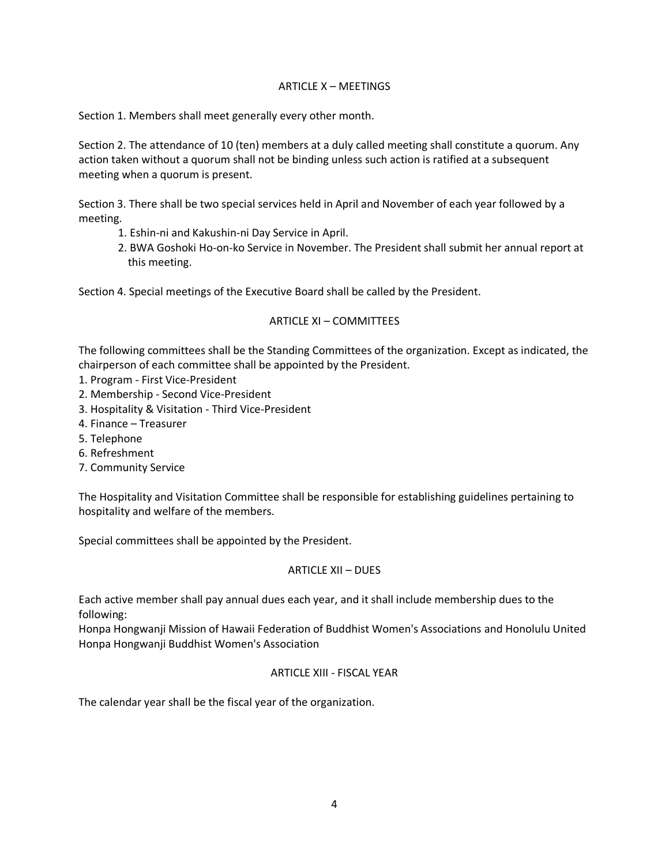# ARTICLE X – MEETINGS

Section 1. Members shall meet generally every other month.

Section 2. The attendance of 10 (ten) members at a duly called meeting shall constitute a quorum. Any action taken without a quorum shall not be binding unless such action is ratified at a subsequent meeting when a quorum is present.

Section 3. There shall be two special services held in April and November of each year followed by a meeting.

- 1. Eshin-ni and Kakushin-ni Day Service in April.
- 2. BWA Goshoki Ho-on-ko Service in November. The President shall submit her annual report at this meeting.

Section 4. Special meetings of the Executive Board shall be called by the President.

### ARTICLE XI – COMMITTEES

The following committees shall be the Standing Committees of the organization. Except as indicated, the chairperson of each committee shall be appointed by the President.

- 1. Program First Vice-President
- 2. Membership Second Vice-President
- 3. Hospitality & Visitation Third Vice-President
- 4. Finance Treasurer
- 5. Telephone
- 6. Refreshment
- 7. Community Service

The Hospitality and Visitation Committee shall be responsible for establishing guidelines pertaining to hospitality and welfare of the members.

Special committees shall be appointed by the President.

# ARTICLE XII – DUES

Each active member shall pay annual dues each year, and it shall include membership dues to the following:

Honpa Hongwanji Mission of Hawaii Federation of Buddhist Women's Associations and Honolulu United Honpa Hongwanji Buddhist Women's Association

# ARTICLE XIII - FISCAL YEAR

The calendar year shall be the fiscal year of the organization.